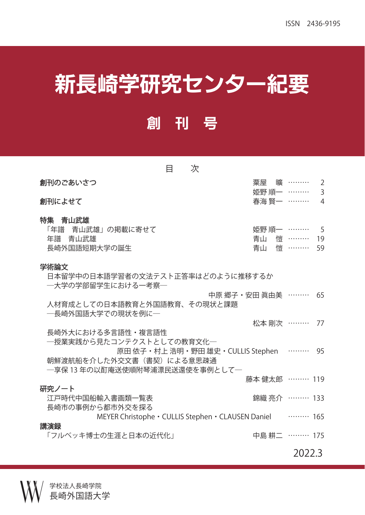## 新長崎学研究センター紀要

## 創 刊 号

| 目<br>次                                                                                                               |                |                                   |                                  |
|----------------------------------------------------------------------------------------------------------------------|----------------|-----------------------------------|----------------------------------|
| 創刊のごあいさつ                                                                                                             |                | 粟屋 曠 ………                          | 2                                |
| 創刊によせて                                                                                                               | 春海 賢一 ………      | 姫野 順一 ………                         | $\overline{3}$<br>$\overline{4}$ |
| 特集 青山武雄<br>「年譜 青山武雄」の掲載に寄せて<br>年譜 青山武雄<br>長崎外国語短期大学の誕生                                                               |                | 姫野 順一 ………<br>青山 愷 ………<br>青山 悄 ……… | -5<br>19<br>59                   |
| 学術論文<br>日本留学中の日本語学習者の文法テスト正答率はどのように推移するか<br>―大学の学部留学生における一考察―                                                        |                |                                   |                                  |
| 中原 郷子・安田 眞由美 ………<br>人材育成としての日本語教育と外国語教育、その現状と課題<br>―長崎外国語大学での現状を例に―                                                  |                |                                   | 65                               |
|                                                                                                                      |                | 松本 剛次 ………                         | 77                               |
| 長崎外大における多言語性・複言語性<br>一授業実践から見たコンテクストとしての教育文化―<br>原田 依子・村上 浩明・野田 雄史・CULLIS Stephen ……… 95<br>朝鮮渡航船を介した外交文書(書契)による意思疎通 |                |                                   |                                  |
| ―享保 13 年の以酊庵送使順附琴浦漂民送還使を事例として―                                                                                       | 藤本 健太郎 ……… 119 |                                   |                                  |
| 研究ノート<br>江戸時代中国船輸入書画類一覧表<br>長崎市の事例から都市外交を探る                                                                          |                | 錦織 亮介 ……… 133                     |                                  |
| MEYER Christophe · CULLIS Stephen · CLAUSEN Daniel  165                                                              |                |                                   |                                  |
| 講演録<br>「フルベッキ博士の生涯と日本の近代化」                                                                                           |                | 中島耕二 ……… 175                      |                                  |

**2022.3**

学校法人長崎学院 長崎外国語大学